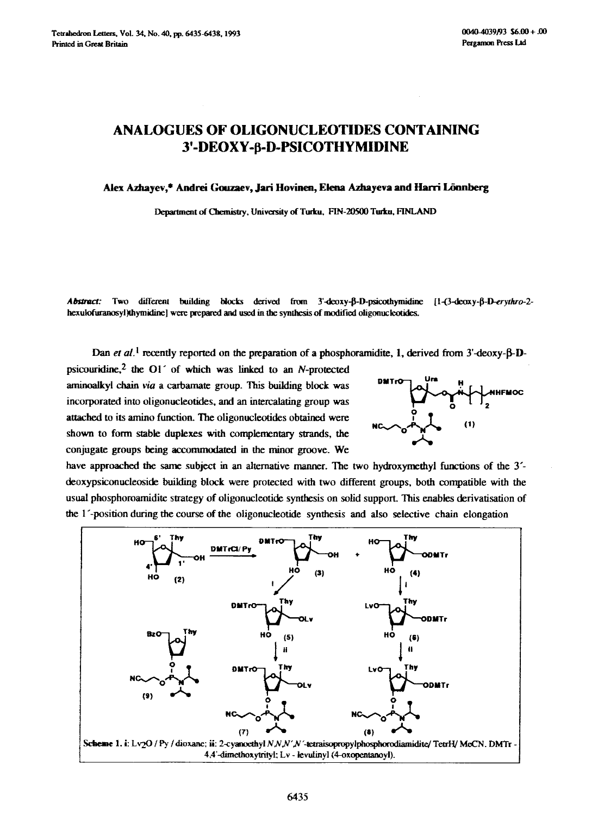## **ANALOGUES OF OLIGONUCLEOTIDES CONTAINING**  3'-DEOXY-**ß-D-PSICOTHYMIDINE**

Alex Azhayev,\* Andrei Gouzaev, Jari Hovinen, Elena Azhayeva and Harri Lönnberg

Department of Chemistry, University of Turku, FIN-20500 Turku, FINLAND

Abstract: Two different building blocks derived from 3'-deoxy-B-D-psicothymidine [1-(3-deoxy-B-D-erythro-2hexulofuranosyl)thymidine] were prepared and used in the synthesis of modified oligonucleotides.

Dan et al.<sup>1</sup> recently reported on the preparation of a phosphoramidite, 1, derived from 3'-deoxy- $\beta$ -D-

psicouridine,<sup>2</sup> the O1 $^{\prime}$  of which was linked to an N-protected *anmaoalkyl chain via* a carbamate group. This building block was incorporated into oligonucleotides, and an intercalating group was attached to its amino function. The oligonucleotides obtained were shown to form stable duplexes with complementary strands, the conjugate groups being accommodated in the minor groove. We



have approached the same subject in an alternative manner. The two hydroxymethyl functions of the 3<sup>-</sup> deoxypsiconucleoside building block were protected with two different groups, both compatible with the usual phosphoroamidite strategy of oligonucleotide synthesis on solid support. This enables derivatisation of the l'-position during the course of the oligonucleotide synthesis and also selective chain elongation

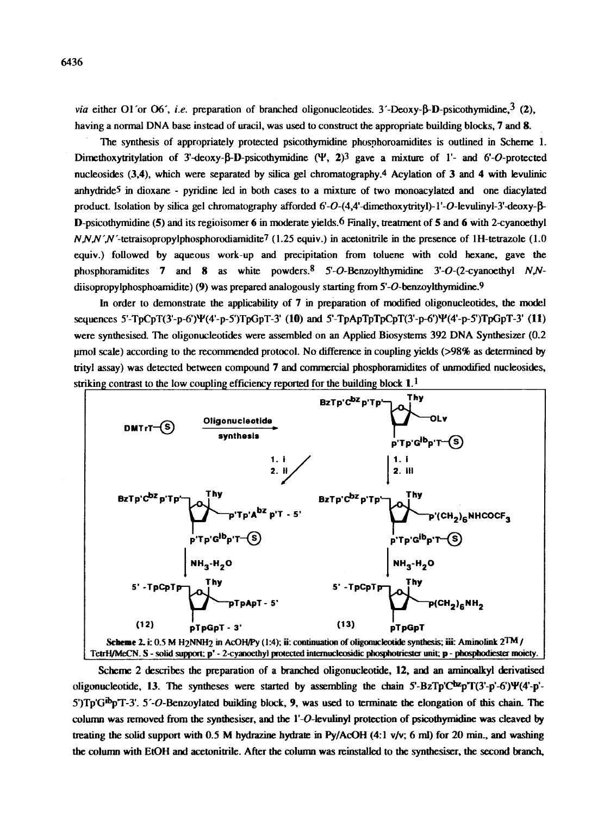*via* either O1'or O6', *i.e.* preparation of branched oligonucleotides. 3'-Deoxy-B-D-psicothymidine.<sup>3</sup> (2), having a normal DNA base instead of uracil, was used to construct the appropriate building blocks, 7 and 8.

The synthesis of appropriately protected psicothymidine pbospboroamidites is outlined in Scheme 1. Dimethoxytritylation of 3'-deoxy- $\beta$ -D-psicothymidine ( $\Psi$ , 2)3 gave a mixture of 1'- and 6'-O-protected nucleosides (3,4), which were separated by silica gel chromatography.4 Acylation of 3 and 4 with levulinic anhydride<sup>5</sup> in dioxane - pyridine led in both cases to a mixture of two monoacylated and one diacylated product. Isolation by silica gel chromatography afforded  $6'-O-(4.4'-d$ imethoxytrityl)-l'-O-levulinyl-3'-deoxy- $\beta$ -D-psicothymidine (5) and its regioisomer 6 in moderate yields.<sup>6</sup> Finally, treatment of 5 and 6 with 2-cyanoethyl  $N_{N,N}$ '/N'-tetraisopropylphosphorodiamidite<sup>7</sup> (1.25 equiv.) in acetonitrile in the presence of 1H-tetrazole (1.0 equiv.) followed by aqueous work-up and precipitation from toluene with cold hexane, gave the phosphoramidites 7 and 8 as white powders. <sup>8</sup> 5'-O-Benzoylthymidine 3'-O-(2-cyanoethyl N,Ndiisopropylphosphoamidite) (9) was prepared analogously starting from 5'-O-benzoylthymidine.<sup>9</sup>

In order to demonstrate the applicability of 7 in preparation of modified oligonucleotides, the model sequences 5'-TpCpT(3'-p-6')W(4'-p-5')TpGpT-3' (10) and 5'-TpApTpTpCpT(3'-p-6')W(4'-p-5')TpGpT-3' (I1) were synthesised. The oligonucleotides were assembled on an Applied Biosystems 392 DNA Synthesizer (0.2 pmol scale) according to the recommended protocol. No difference in coupling yields (>98% as determined by trityl assay) was detected between compound 7 and commercial pbosphoramidites of unmodified nucleosides, striking contrast to the low coupling efficiency reported for the building block  $1<sup>1</sup>$ .



Scheme 2 describes the preparation of a branched oligonucleotide, 12, and an aminoalkyl derivatised oligonucleotide, 13. The syntheses were started by assembling the chain  $5$ -BzTp'C<sup>bz</sup>pT(3'-p'-6')Y(4'-p'- $5'$ )Tp'G<sup>ib</sup>p'T-3'.  $5'$ -O-Benzoylated building block, 9, was used to terminate the elongation of this chain. The column was removed from the synthesiser, and the  $l'-O$ -levulinyl protection of psicothymidine was cleaved by treating the solid support with 0.5 M hydrazine hydrate in Py/AcOH (4:1 v/v; 6 ml) for 20 min., and washing the column with EtOH and acetonitrile. After the column was reinstalled to the synthcsiser, the second branch,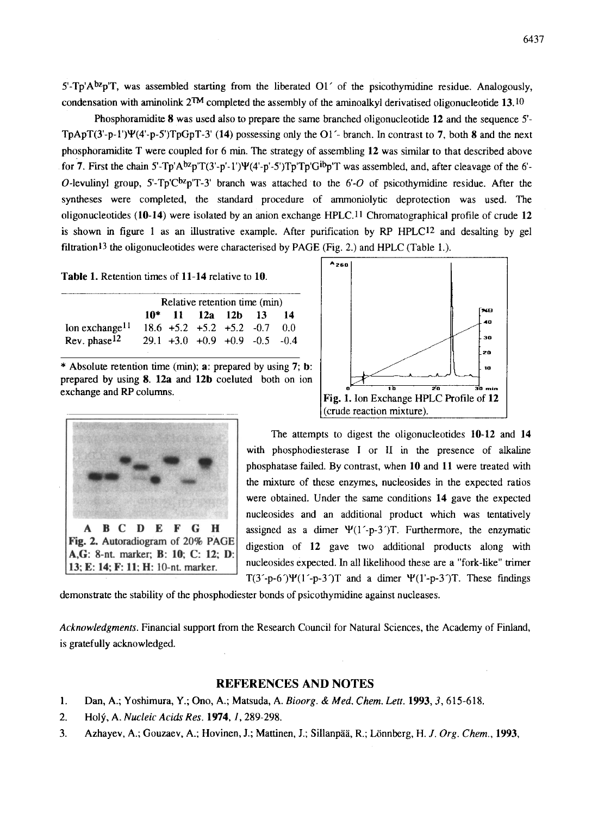5'-Tp'A $b^2p$ <sup>T</sup>, was assembled starting from the liberated O1' of the psicothymidine residue. Analogously, condensation with aminolink  $2^{TM}$  completed the assembly of the aminoalkyl derivatised oligonucleotide 13.10

Phosphoramidite  $8$  was used also to prepare the same branched oligonucleotide 12 and the sequence  $5'$ -TpApT(3'-p-1') $\Psi$ (4'-p-5')TpGpT-3' (14) possessing only the O1'- branch. In contrast to 7, both 8 and the next phosphoramidite T were coupled for 6 min. The strategy of assembling 12 was similar to that described above for 7. First the chain  $5'-Tp'A^{bz}p'T(3'-p'-1')\Psi(4'-p'-5')Tp'Tp'G^{ib}p'T$  was assembled, and, after cleavage of the 6'-O-levulinyl group,  $5^{\circ}$ -Tp'C<sup>bz</sup>p'T-3' branch was attached to the 6'-O of psicothymidine residue. After the syntheses were completed, the standard procedure of ammoniolytic deprotection was used. The oligonucleotides (10-14) were isolated by an anion exchange HPLC.11 Chromatographical profile of crude 12 is shown in figure 1 as an illustrative example. After purification by RP HPLC12 and desalting by gel filtration<sup>13</sup> the oligonucleotides were characterised by PAGE (Fig. 2.) and HPLC (Table 1.).

Table 1. Retention times of 11-14 relative to 10.

|                            | Relative retention time (min) |  |                                      |  |  |    |
|----------------------------|-------------------------------|--|--------------------------------------|--|--|----|
|                            |                               |  | $10^*$ 11 12a 12b 13                 |  |  | 14 |
| Ion exchange <sup>11</sup> |                               |  | $18.6 + 5.2 + 5.2 + 5.2 - 0.7$       |  |  | 00 |
| Rev. phase $12$            |                               |  | $29.1 + 3.0 + 0.9 + 0.9 - 0.5 - 0.4$ |  |  |    |

\* Absolute retention time (min); a: prepared by using 7; **b:**  prepared by using 8. 12a and 12b coeluted both on ion exchange and RP columns.





The attempts to digest the oligonucleotides 10-12 and 14 with phosphodiesterase I or II in the presence of alkaline phosphatase failed. By contrast, when 10 and 11 were treated with the mixture of these enzymes, nucieosides in the expected ratios were obtained. Under the same conditions 14 gave the expected nucleosides and an additional product which was tentatively assigned as a dimer  $\Psi(1-p-3')T$ . Furthermore, the enzymatic digestion of 12 gave two additional products along with nucleosides expected. In all likelihood these are a "fork-like" trimer  $T(3'-p-6')\Psi(1'-p-3')T$  and a dimer  $\Psi(1'-p-3')T$ . These findings

demonstrate the stability of the phosphodiester bonds of psicothymidine against nucleases.

*Acknowledgments.* Financial support from the Research Council for Natural Sciences, the Academy of Finland, is gratefully acknowledged.

## REFERENCES AND NOTES

- 1. Dan, A.; Yoshimura, Y.; Ono, A.; Matsuda, A. *Bioorg. & Med. Chem. Lett.* 1993, 3, 615-618.
- 2. Ho12~, A. *Nucleic Acids Res.* 1974, 1,289-298.
- 3. Azhayev, A.; Gouzaev, A.; Hovinen, J.; Mattinen, J.; Sillanpää, R.; Lönnberg, *H. J. Org. Chem.*, 1993,